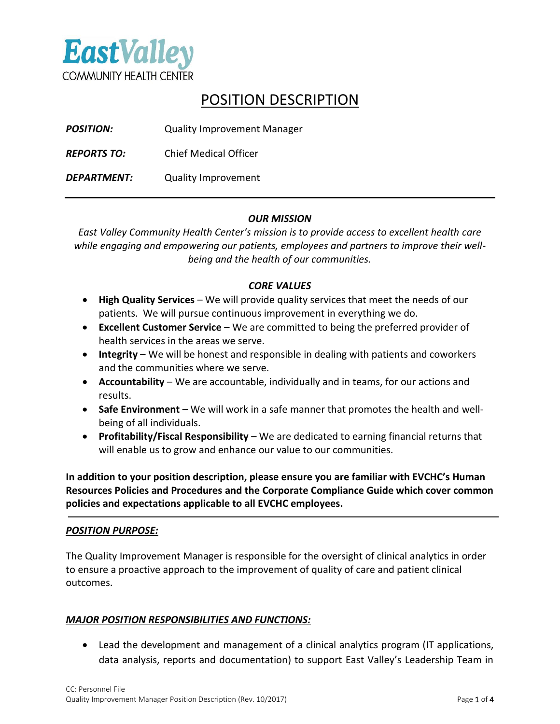

# POSITION DESCRIPTION

| <b>POSITION:</b>   | <b>Quality Improvement Manager</b> |
|--------------------|------------------------------------|
| <b>REPORTS TO:</b> | <b>Chief Medical Officer</b>       |
| <b>DEPARTMENT:</b> | <b>Quality Improvement</b>         |

## *OUR MISSION*

*East Valley Community Health Center's mission is to provide access to excellent health care while engaging and empowering our patients, employees and partners to improve their wellbeing and the health of our communities.*

## *CORE VALUES*

- **High Quality Services** We will provide quality services that meet the needs of our patients. We will pursue continuous improvement in everything we do.
- **Excellent Customer Service** We are committed to being the preferred provider of health services in the areas we serve.
- **Integrity** We will be honest and responsible in dealing with patients and coworkers and the communities where we serve.
- **Accountability** We are accountable, individually and in teams, for our actions and results.
- **Safe Environment** We will work in a safe manner that promotes the health and wellbeing of all individuals.
- **Profitability/Fiscal Responsibility** We are dedicated to earning financial returns that will enable us to grow and enhance our value to our communities.

**In addition to your position description, please ensure you are familiar with EVCHC's Human Resources Policies and Procedures and the Corporate Compliance Guide which cover common policies and expectations applicable to all EVCHC employees.**

## *POSITION PURPOSE:*

The Quality Improvement Manager is responsible for the oversight of clinical analytics in order to ensure a proactive approach to the improvement of quality of care and patient clinical outcomes.

## *MAJOR POSITION RESPONSIBILITIES AND FUNCTIONS:*

• Lead the development and management of a clinical analytics program (IT applications, data analysis, reports and documentation) to support East Valley's Leadership Team in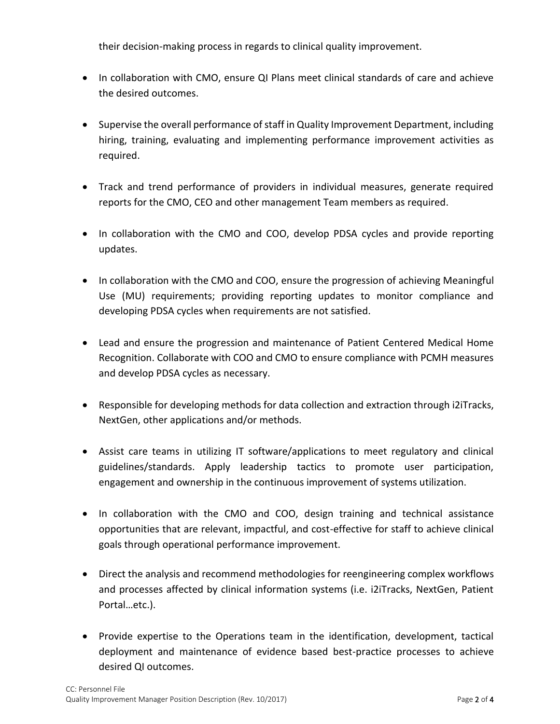their decision-making process in regards to clinical quality improvement.

- In collaboration with CMO, ensure QI Plans meet clinical standards of care and achieve the desired outcomes.
- Supervise the overall performance of staff in Quality Improvement Department, including hiring, training, evaluating and implementing performance improvement activities as required.
- Track and trend performance of providers in individual measures, generate required reports for the CMO, CEO and other management Team members as required.
- In collaboration with the CMO and COO, develop PDSA cycles and provide reporting updates.
- In collaboration with the CMO and COO, ensure the progression of achieving Meaningful Use (MU) requirements; providing reporting updates to monitor compliance and developing PDSA cycles when requirements are not satisfied.
- Lead and ensure the progression and maintenance of Patient Centered Medical Home Recognition. Collaborate with COO and CMO to ensure compliance with PCMH measures and develop PDSA cycles as necessary.
- Responsible for developing methods for data collection and extraction through i2iTracks, NextGen, other applications and/or methods.
- Assist care teams in utilizing IT software/applications to meet regulatory and clinical guidelines/standards. Apply leadership tactics to promote user participation, engagement and ownership in the continuous improvement of systems utilization.
- In collaboration with the CMO and COO, design training and technical assistance opportunities that are relevant, impactful, and cost-effective for staff to achieve clinical goals through operational performance improvement.
- Direct the analysis and recommend methodologies for reengineering complex workflows and processes affected by clinical information systems (i.e. i2iTracks, NextGen, Patient Portal…etc.).
- Provide expertise to the Operations team in the identification, development, tactical deployment and maintenance of evidence based best-practice processes to achieve desired QI outcomes.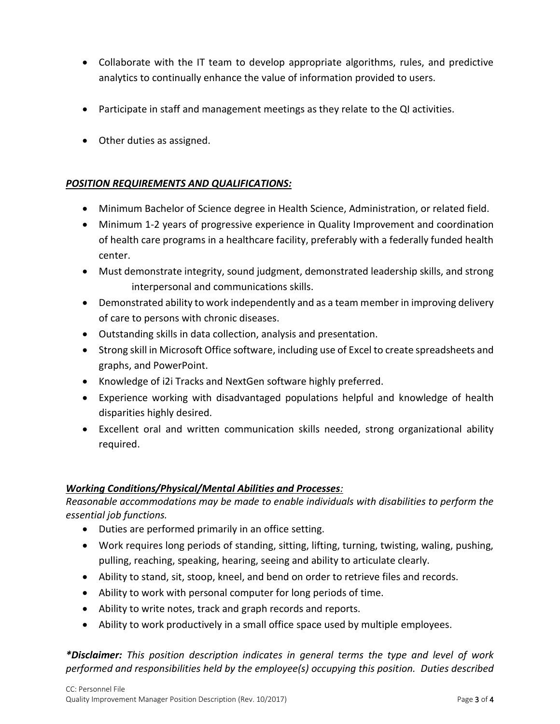- Collaborate with the IT team to develop appropriate algorithms, rules, and predictive analytics to continually enhance the value of information provided to users.
- Participate in staff and management meetings as they relate to the QI activities.
- Other duties as assigned.

## *POSITION REQUIREMENTS AND QUALIFICATIONS:*

- Minimum Bachelor of Science degree in Health Science, Administration, or related field.
- Minimum 1-2 years of progressive experience in Quality Improvement and coordination of health care programs in a healthcare facility, preferably with a federally funded health center.
- Must demonstrate integrity, sound judgment, demonstrated leadership skills, and strong interpersonal and communications skills.
- Demonstrated ability to work independently and as a team member in improving delivery of care to persons with chronic diseases.
- Outstanding skills in data collection, analysis and presentation.
- Strong skill in Microsoft Office software, including use of Excel to create spreadsheets and graphs, and PowerPoint.
- Knowledge of i2i Tracks and NextGen software highly preferred.
- Experience working with disadvantaged populations helpful and knowledge of health disparities highly desired.
- Excellent oral and written communication skills needed, strong organizational ability required.

## *Working Conditions/Physical/Mental Abilities and Processes:*

*Reasonable accommodations may be made to enable individuals with disabilities to perform the essential job functions.*

- Duties are performed primarily in an office setting.
- Work requires long periods of standing, sitting, lifting, turning, twisting, waling, pushing, pulling, reaching, speaking, hearing, seeing and ability to articulate clearly.
- Ability to stand, sit, stoop, kneel, and bend on order to retrieve files and records.
- Ability to work with personal computer for long periods of time.
- Ability to write notes, track and graph records and reports.
- Ability to work productively in a small office space used by multiple employees.

*\*Disclaimer: This position description indicates in general terms the type and level of work performed and responsibilities held by the employee(s) occupying this position. Duties described*